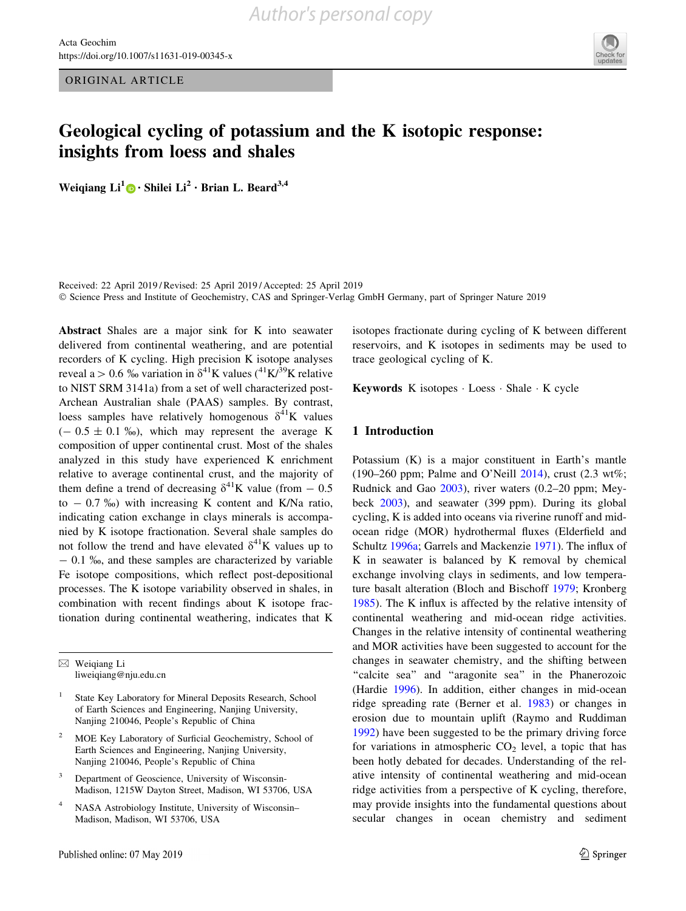ORIGINAL ARTICLE



# Geological cycling of potassium and the K isotopic response: insights from loess and shales

Weiqiang  $Li^1 \oplus \cdot$  Shilei  $Li^2 \cdot$  Brian L. Beard<sup>3,4</sup>

Received: 22 April 2019 / Revised: 25 April 2019 / Accepted: 25 April 2019 - Science Press and Institute of Geochemistry, CAS and Springer-Verlag GmbH Germany, part of Springer Nature 2019

Abstract Shales are a major sink for K into seawater delivered from continental weathering, and are potential recorders of K cycling. High precision K isotope analyses reveal a > 0.6 % variation in  $\delta^{41}$ K values (<sup>41</sup>K/<sup>39</sup>K relative to NIST SRM 3141a) from a set of well characterized post-Archean Australian shale (PAAS) samples. By contrast, loess samples have relatively homogenous  $\delta^{41}$ K values  $(-0.5 \pm 0.1 \%)$ , which may represent the average K composition of upper continental crust. Most of the shales analyzed in this study have experienced K enrichment relative to average continental crust, and the majority of them define a trend of decreasing  $\delta^{41}$ K value (from  $- 0.5$ to  $-0.7\%$ ) with increasing K content and K/Na ratio, indicating cation exchange in clays minerals is accompanied by K isotope fractionation. Several shale samples do not follow the trend and have elevated  $\delta^{41}$ K values up to  $-$  0.1  $\%$ <sub>0</sub>, and these samples are characterized by variable Fe isotope compositions, which reflect post-depositional processes. The K isotope variability observed in shales, in combination with recent findings about K isotope fractionation during continental weathering, indicates that K

 $\boxtimes$  Weiqiang Li liweiqiang@nju.edu.cn

- <sup>2</sup> MOE Key Laboratory of Surficial Geochemistry, School of Earth Sciences and Engineering, Nanjing University, Nanjing 210046, People's Republic of China
- Department of Geoscience, University of Wisconsin-Madison, 1215W Dayton Street, Madison, WI 53706, USA
- <sup>4</sup> NASA Astrobiology Institute, University of Wisconsin– Madison, Madison, WI 53706, USA

isotopes fractionate during cycling of K between different reservoirs, and K isotopes in sediments may be used to trace geological cycling of K.

Keywords K isotopes - Loess - Shale - K cycle

## 1 Introduction

Potassium (K) is a major constituent in Earth's mantle (190–260 ppm; Palme and O'Neill [2014\)](#page-8-0), crust (2.3 wt%; Rudnick and Gao [2003](#page-8-0)), river waters (0.2–20 ppm; Meybeck [2003](#page-8-0)), and seawater (399 ppm). During its global cycling, K is added into oceans via riverine runoff and midocean ridge (MOR) hydrothermal fluxes (Elderfield and Schultz [1996a](#page-8-0); Garrels and Mackenzie [1971\)](#page-8-0). The influx of K in seawater is balanced by K removal by chemical exchange involving clays in sediments, and low temperature basalt alteration (Bloch and Bischoff [1979;](#page-8-0) Kronberg [1985](#page-8-0)). The K influx is affected by the relative intensity of continental weathering and mid-ocean ridge activities. Changes in the relative intensity of continental weathering and MOR activities have been suggested to account for the changes in seawater chemistry, and the shifting between "calcite sea" and "aragonite sea" in the Phanerozoic (Hardie [1996](#page-8-0)). In addition, either changes in mid-ocean ridge spreading rate (Berner et al. [1983\)](#page-8-0) or changes in erosion due to mountain uplift (Raymo and Ruddiman [1992](#page-8-0)) have been suggested to be the primary driving force for variations in atmospheric  $CO<sub>2</sub>$  level, a topic that has been hotly debated for decades. Understanding of the relative intensity of continental weathering and mid-ocean ridge activities from a perspective of K cycling, therefore, may provide insights into the fundamental questions about secular changes in ocean chemistry and sediment

State Key Laboratory for Mineral Deposits Research, School of Earth Sciences and Engineering, Nanjing University, Nanjing 210046, People's Republic of China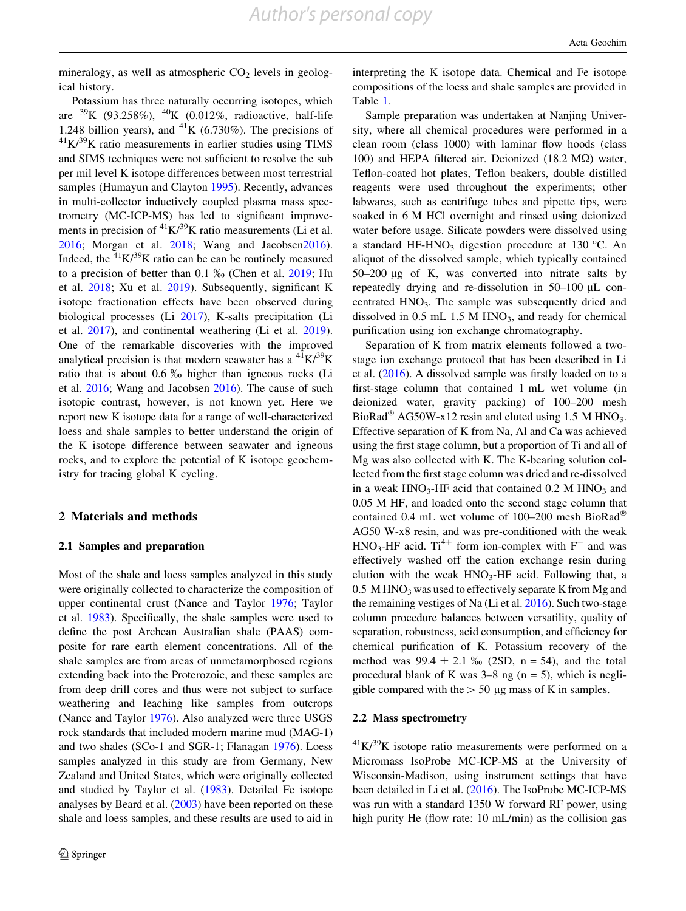mineralogy, as well as atmospheric  $CO<sub>2</sub>$  levels in geological history.

Potassium has three naturally occurring isotopes, which are  $^{39}K$  (93.258%),  $^{40}K$  (0.012%, radioactive, half-life 1.248 billion years), and <sup>41</sup>K (6.730%). The precisions of  ${}^{41}K/{}^{39}K$  ratio measurements in earlier studies using TIMS and SIMS techniques were not sufficient to resolve the sub per mil level K isotope differences between most terrestrial samples (Humayun and Clayton [1995](#page-8-0)). Recently, advances in multi-collector inductively coupled plasma mass spectrometry (MC-ICP-MS) has led to significant improvements in precision of  ${}^{41}K/{}^{39}K$  ratio measurements (Li et al. [2016;](#page-8-0) Morgan et al. [2018](#page-8-0); Wang and Jacobse[n2016](#page-8-0)). Indeed, the  ${}^{41}K/{}^{39}K$  ratio can be can be routinely measured to a precision of better than  $0.1 \%$  (Chen et al.  $2019$ ; Hu et al. [2018](#page-8-0); Xu et al. [2019](#page-8-0)). Subsequently, significant K isotope fractionation effects have been observed during biological processes (Li [2017\)](#page-8-0), K-salts precipitation (Li et al. [2017](#page-8-0)), and continental weathering (Li et al. [2019](#page-8-0)). One of the remarkable discoveries with the improved analytical precision is that modern seawater has a  ${}^{41}K/{}^{39}K$ ratio that is about 0.6 ‰ higher than igneous rocks (Li et al. [2016;](#page-8-0) Wang and Jacobsen [2016](#page-8-0)). The cause of such isotopic contrast, however, is not known yet. Here we report new K isotope data for a range of well-characterized loess and shale samples to better understand the origin of the K isotope difference between seawater and igneous rocks, and to explore the potential of K isotope geochemistry for tracing global K cycling.

## 2 Materials and methods

### 2.1 Samples and preparation

Most of the shale and loess samples analyzed in this study were originally collected to characterize the composition of upper continental crust (Nance and Taylor [1976](#page-8-0); Taylor et al. [1983\)](#page-8-0). Specifically, the shale samples were used to define the post Archean Australian shale (PAAS) composite for rare earth element concentrations. All of the shale samples are from areas of unmetamorphosed regions extending back into the Proterozoic, and these samples are from deep drill cores and thus were not subject to surface weathering and leaching like samples from outcrops (Nance and Taylor [1976\)](#page-8-0). Also analyzed were three USGS rock standards that included modern marine mud (MAG-1) and two shales (SCo-1 and SGR-1; Flanagan [1976\)](#page-8-0). Loess samples analyzed in this study are from Germany, New Zealand and United States, which were originally collected and studied by Taylor et al. [\(1983](#page-8-0)). Detailed Fe isotope analyses by Beard et al. ([2003\)](#page-8-0) have been reported on these shale and loess samples, and these results are used to aid in interpreting the K isotope data. Chemical and Fe isotope compositions of the loess and shale samples are provided in Table [1](#page-2-0).

Sample preparation was undertaken at Nanjing University, where all chemical procedures were performed in a clean room (class 1000) with laminar flow hoods (class 100) and HEPA filtered air. Deionized (18.2  $\text{M}\Omega$ ) water, Teflon-coated hot plates, Teflon beakers, double distilled reagents were used throughout the experiments; other labwares, such as centrifuge tubes and pipette tips, were soaked in 6 M HCl overnight and rinsed using deionized water before usage. Silicate powders were dissolved using a standard HF-HNO<sub>3</sub> digestion procedure at 130 °C. An aliquot of the dissolved sample, which typically contained 50–200 lg of K, was converted into nitrate salts by repeatedly drying and re-dissolution in  $50-100 \mu L$  concentrated HNO<sub>3</sub>. The sample was subsequently dried and dissolved in  $0.5$  mL  $1.5$  M HNO<sub>3</sub>, and ready for chemical purification using ion exchange chromatography.

Separation of K from matrix elements followed a twostage ion exchange protocol that has been described in Li et al. [\(2016](#page-8-0)). A dissolved sample was firstly loaded on to a first-stage column that contained 1 mL wet volume (in deionized water, gravity packing) of 100–200 mesh BioRad<sup>®</sup> AG50W-x12 resin and eluted using 1.5 M HNO<sub>3</sub>. Effective separation of K from Na, Al and Ca was achieved using the first stage column, but a proportion of Ti and all of Mg was also collected with K. The K-bearing solution collected from the first stage column was dried and re-dissolved in a weak  $HNO<sub>3</sub>$ -HF acid that contained 0.2 M  $HNO<sub>3</sub>$  and 0.05 M HF, and loaded onto the second stage column that contained 0.4 mL wet volume of 100–200 mesh BioRad AG50 W-x8 resin, and was pre-conditioned with the weak  $HNO<sub>3</sub>-HF$  acid. Ti<sup>4+</sup> form ion-complex with F<sup>-</sup> and was effectively washed off the cation exchange resin during elution with the weak  $HNO<sub>3</sub>-HF$  acid. Following that, a  $0.5$  M HNO<sub>3</sub> was used to effectively separate K from Mg and the remaining vestiges of Na (Li et al. [2016\)](#page-8-0). Such two-stage column procedure balances between versatility, quality of separation, robustness, acid consumption, and efficiency for chemical purification of K. Potassium recovery of the method was  $99.4 \pm 2.1$  ‰ (2SD, n = 54), and the total procedural blank of K was  $3-8$  ng (n = 5), which is negligible compared with the  $> 50 \mu$ g mass of K in samples.

### 2.2 Mass spectrometry

 $^{41}$ K/ $^{39}$ K isotope ratio measurements were performed on a Micromass IsoProbe MC-ICP-MS at the University of Wisconsin-Madison, using instrument settings that have been detailed in Li et al. [\(2016](#page-8-0)). The IsoProbe MC-ICP-MS was run with a standard 1350 W forward RF power, using high purity He (flow rate: 10 mL/min) as the collision gas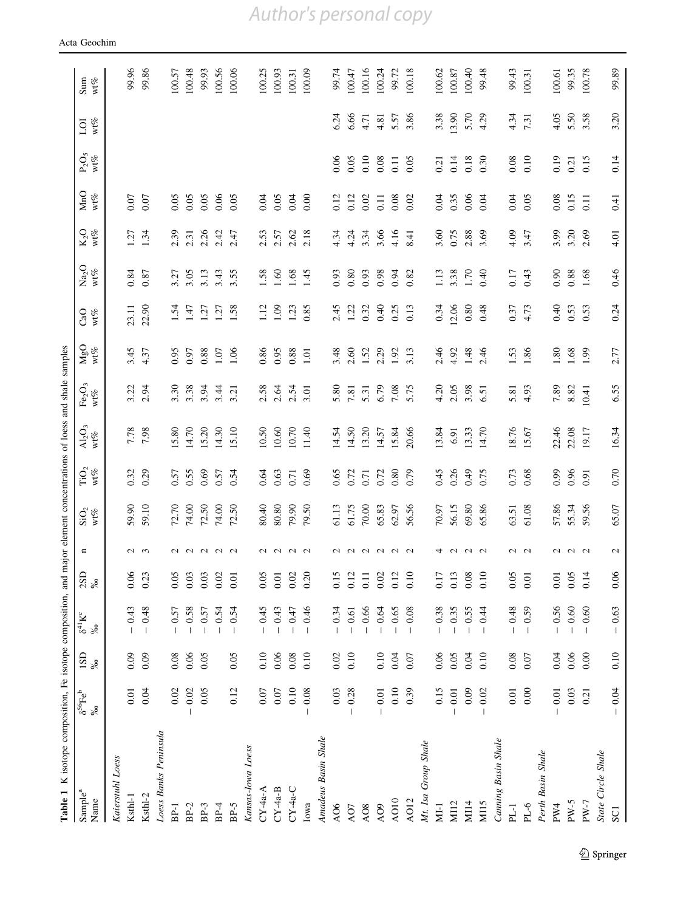| Table 1 K isotope composition, Fe isotope composition, and |                                                   |             |                                   |                |                   |                                                                    |                                       |                                      | major element concentrations of loess and shale samples |                       |                                      |                                           |                |        |                                            |                         |                                                      |
|------------------------------------------------------------|---------------------------------------------------|-------------|-----------------------------------|----------------|-------------------|--------------------------------------------------------------------|---------------------------------------|--------------------------------------|---------------------------------------------------------|-----------------------|--------------------------------------|-------------------------------------------|----------------|--------|--------------------------------------------|-------------------------|------------------------------------------------------|
| Sample <sup>a</sup>                                        | Ê<br>8 <sup>56</sup> ]<br>%0                      |             | $\mathbf{K}^{\mathrm{c}}$<br>್ಯ ಜ | $\frac{2}{8}$  | $\mathbf{u}$      | $\mathop{\rm SiO_2}\limits_{\mathop{\rm W1}\mathop{\rm W2}\limits$ | $\mathop{\rm TiO}\nolimits_2$ wt<br>% | $Al_2O_3$                            | $\text{Fe}_2\text{O}_3$ wt $\%$                         | $M_{\rm gc}^{\rm SO}$ | CaO                                  | $\frac{\text{Na}_2\text{O}}{\text{wt}\%}$ | $K_2O$ wt $\%$ | MnO    | $\frac{\text{P}_2\text{O}_5}{\text{wt}\%}$ | $\frac{\log n}{\log n}$ | $\mathop{\rm Sum}_{\mathbf{W} \mathcal{C}_\partial}$ |
| Name                                                       |                                                   | $\sup_{\%}$ |                                   |                |                   |                                                                    |                                       | $\mathsf{wt}\mathscr{O}_\mathcal{O}$ |                                                         |                       | $\mathbf{wt}\mathcal{V}_\mathcal{O}$ |                                           |                | $wt\%$ |                                            |                         |                                                      |
| Kaierstuhl Loess                                           |                                                   |             |                                   |                |                   |                                                                    |                                       |                                      |                                                         |                       |                                      |                                           |                |        |                                            |                         |                                                      |
| Ksthl-1                                                    | 0.01                                              | 0.09        | 0.43                              | 0.06           |                   | 59.90                                                              | 0.32                                  |                                      | 3.22                                                    | 3.45                  | 23.11                                | 0.84                                      | 1.27           | 0.07   |                                            |                         | 99.96                                                |
| Ksthl-2                                                    | 0.04                                              | 0.09        | 0.48                              | 0.23           | $\sim$ $\sim$     | 59.10                                                              | 0.29                                  | $7.78$<br>7.98                       | 2.94                                                    | 4.37                  | 22.90                                | 0.87                                      | 1.34           | 0.07   |                                            |                         | 99.86                                                |
| Loess Banks Peninsula                                      |                                                   |             |                                   |                |                   |                                                                    |                                       |                                      |                                                         |                       |                                      |                                           |                |        |                                            |                         |                                                      |
| $BP-1$                                                     | 0.02                                              | 0.08        | 0.57<br>$\perp$                   | 0.05           |                   | 72.70                                                              | 0.57                                  | 15.80                                | 3.30                                                    | 0.95                  | 1.54                                 | 3.27                                      | 2.39           | 0.05   |                                            |                         | 100.57                                               |
| $BP-2$                                                     | 0.02<br>$\overline{\phantom{a}}$                  | 0.06        | 0.58                              | 0.03           | a a a a a         | 74.00                                                              | 0.55                                  | 14.70                                | 3.38                                                    | 0.97                  | 147                                  | 3.05                                      | 2.31           | 0.05   |                                            |                         | 100.48                                               |
| $BP-3$                                                     | 0.05                                              | 0.05        | 0.57                              | 0.03           |                   | 72.50                                                              | 0.69                                  | 15.20                                | 3.94                                                    | 0.88                  | $\overline{127}$                     | 3.13                                      | 2.26           | 0.05   |                                            |                         | 99.93                                                |
| $BP-4$                                                     |                                                   |             | 0.54                              | 0.02           |                   | 74.00                                                              | 0.57                                  | 14.30                                | 3.44                                                    | 1.07                  | 1.27                                 | 3.43                                      | 2.42           | 0.06   |                                            |                         | 100.56                                               |
| BP-5                                                       | 0.12                                              | 0.05        | 0.54<br>$\overline{\phantom{a}}$  | 0.01           |                   | 72.50                                                              | 0.54                                  | 15.10                                | 3.21                                                    | 1.06                  | 1.58                                 | 3.55                                      | 2.47           | 0.05   |                                            |                         | 100.06                                               |
| Kansas-Iowa Loess                                          |                                                   |             |                                   |                |                   |                                                                    |                                       |                                      |                                                         |                       |                                      |                                           |                |        |                                            |                         |                                                      |
| $CY-4a-A$                                                  | 0.07                                              | 0.10        | 0.45<br>$\perp$                   | 0.05           |                   | 80.40                                                              | 0.64                                  | 10.50                                | 2.58                                                    | 0.86                  | 1.12                                 | 1.58                                      | 2.53           | 0.04   |                                            |                         | 100.25                                               |
| $CY-4a-B$                                                  | 0.07                                              | 0.06        | 0.43                              | 0.01           | a a a a           | 80.80                                                              | 0.63                                  | 10.60                                | 2.64                                                    | 0.95                  | 1.09                                 | 1.60                                      | 2.57           | 0.05   |                                            |                         | 100.93                                               |
| $CY-4a-C$                                                  | 0.10                                              | 0.08        | 0.47                              | 0.02           |                   | 79.90                                                              | 0.71                                  | 10.70                                | 2.54                                                    | 0.88                  | 1.23                                 | 1.68                                      | 2.62           | 0.04   |                                            |                         | 100.31                                               |
| Iowa                                                       | $0.08\,$<br>$\begin{array}{c} \hline \end{array}$ | 0.10        | 0.46<br>$\overline{\phantom{a}}$  | 0.20           |                   | 79.50                                                              | 0.69                                  | 11.40                                | 3.01                                                    | $1.01$                | 0.85                                 | 1.45                                      | 2.18           | 0.00   |                                            |                         | 100.09                                               |
| Amadeus Basin Shale                                        |                                                   |             |                                   |                |                   |                                                                    |                                       |                                      |                                                         |                       |                                      |                                           |                |        |                                            |                         |                                                      |
| AO6                                                        | 0.03                                              | 0.02        | 0.34                              | 0.15           |                   | 61.13                                                              | 0.65                                  | 14.54                                | 5.80                                                    | 3.48                  | 2.45                                 | 0.93                                      | 4.34           | 0.12   | 0.06                                       | 6.24                    | 99.74                                                |
| AO7                                                        | 0.28<br>$\mathbf{I}$                              | 0.10        | 0.61                              | 0.12           |                   | 61.75                                                              | 0.72                                  | 14.50                                | 7.81                                                    | 2.60                  | 1.22                                 | 0.80                                      | 4.24           | 0.12   | 0.05                                       | 6.66                    | 100.47                                               |
| AO <sub>8</sub>                                            |                                                   |             | 0.66                              | $\overline{0}$ |                   | $70.00$                                                            | 0.71                                  | 13.20                                | 5.31                                                    | 1.52                  | 0.32                                 | 0.93                                      | 3.34           | 0.02   | 0.10                                       | 4.71                    | 100.16                                               |
| AO9                                                        | 0.01                                              | 0.10        | 0.64                              | 0.02           | 2 2 2 2 2 2       | 65.83                                                              | 0.72                                  | 14.57                                | 6.79                                                    | 2.29                  | 0.40                                 | 0.98                                      | 3.66           | 0.11   | 0.08                                       | 4.81                    | 100.24                                               |
| AO10                                                       | 0.10                                              | 0.04        | 0.65                              | 0.12           |                   | 62.97                                                              | 0.80                                  | 15.84                                | 7.08                                                    | 1.92                  | 0.25                                 | 0.94                                      | 4.16           | 0.08   | 0.11                                       | 5.57                    | 99.72                                                |
| AO12                                                       | 0.39                                              | $0.07\,$    | 0.08<br>$\perp$                   | 0.10           |                   | 56.56                                                              | 0.79                                  | 20.66                                | 5.75                                                    | 3.13                  | 0.13                                 | 0.82                                      | 8.41           | 0.02   | 0.05                                       | 3.86                    | 100.18                                               |
| Mt. Isa Group Shale                                        |                                                   |             |                                   |                |                   |                                                                    |                                       |                                      |                                                         |                       |                                      |                                           |                |        |                                            |                         |                                                      |
| $M-1$                                                      | 0.15                                              | 0.06        | 0.38                              | 0.17           | 4                 | $70.97$                                                            | 0.45                                  | 13.84                                | 4.20                                                    | 2.46                  | 0.34                                 | 1.13                                      | 3.60           | 0.04   | 0.21                                       | 3.38                    | 100.62                                               |
| M112                                                       | 0.01                                              | 0.05        | 0.35                              | 0.13           | $\sim$            | 56.15                                                              | 0.26                                  | 6.91                                 | 2.05                                                    | 4.92                  | 12.06                                | 3.38                                      | 0.75           | 0.35   | 0.14                                       | 13.90                   | 100.87                                               |
| M14                                                        | 0.09                                              | 0.04        | $-0.55$                           | 0.08           | $\sim$ $\sim$     | 69.80                                                              | 64.0                                  | 13.33                                | 3.98                                                    | 1.48                  | 0.80                                 | 1.70                                      | 2.88           | 0.06   | 0.18                                       | 5.70                    | 100.40                                               |
| MI <sub>5</sub>                                            | 0.02<br>$\mathbf{I}$                              | 0.10        | 0.44                              | 0.10           |                   | 65.86                                                              | 0.75                                  | 14.70                                | 6.51                                                    | 2.46                  | 0.48                                 | 0.40                                      | 3.69           | 0.04   | 0.30                                       | 4.29                    | 99.48                                                |
| Canning Basin Shale                                        |                                                   |             |                                   |                |                   |                                                                    |                                       |                                      |                                                         |                       |                                      |                                           |                |        |                                            |                         |                                                      |
| PL1                                                        | 0.01                                              | 0.08        | 0.48                              | 0.05           | $\mathcal{L}$     | 63.51                                                              | 0.73                                  | 18.76                                | 5.81                                                    | 1.53                  | 0.37                                 | 0.17                                      | 4.09           | 0.04   | 0.08                                       | 4.34                    | 99.43                                                |
| $PL-6$                                                     | 0.00                                              | 0.07        | 0.59<br>$\mathbf{I}$              | 0.01           | $\sim$            | 61.08                                                              | 0.68                                  | 15.67                                | 4.93                                                    | 1.86                  | 4.73                                 | 0.43                                      | 3.47           | 0.05   | 0.10                                       | 7.31                    | 100.31                                               |
| Perth Basin Shale                                          |                                                   |             |                                   |                |                   |                                                                    |                                       |                                      |                                                         |                       |                                      |                                           |                |        |                                            |                         |                                                      |
| PW4                                                        | 0.01                                              | 0.04        | 0.56                              | 0.01           | $\sim$            | 57.86                                                              | 0.99                                  | 22.46                                | 7.89                                                    | 1.80                  | 0.40                                 | 0.90                                      | 3.99           | 0.08   | 0.19                                       | 4.05                    | 100.61                                               |
| $PW-5$                                                     | 0.03                                              | 0.06        | 0.60                              | 0.05           | $\alpha$ $\alpha$ | 55.34                                                              | 0.96                                  | 22.08                                | 8.82                                                    | 1.68                  | 0.53                                 | $0.88\,$                                  | 3.20           | 0.15   | 0.21                                       | 5.50                    | 99.35                                                |
| $PW-7$                                                     | 0.21                                              | 0.00        | 0.60<br>$\overline{1}$            | 0.14           |                   | 59.56                                                              | 0.91                                  | 19.17                                | 10.41                                                   | 1.99                  | 0.53                                 | 1.68                                      | 2.69           | 0.11   | 0.15                                       | 3.58                    | 100.78                                               |
| State Circle Shale                                         |                                                   |             |                                   |                |                   |                                                                    |                                       |                                      |                                                         |                       |                                      |                                           |                |        |                                            |                         |                                                      |
| SCI                                                        | 0.04<br>$\overline{\phantom{a}}$                  | 0.10        | $-0.63$                           | 0.06           | $\mathcal{L}$     | 65.07                                                              | 0.70                                  | 16.34                                | 6.55                                                    | 2.77                  | 0.24                                 | 0.46                                      | 4.01           | 0.41   | 0.14                                       | 3.20                    | 99.89                                                |

<span id="page-2-0"></span>Acta Geochim

*Author's personal copy*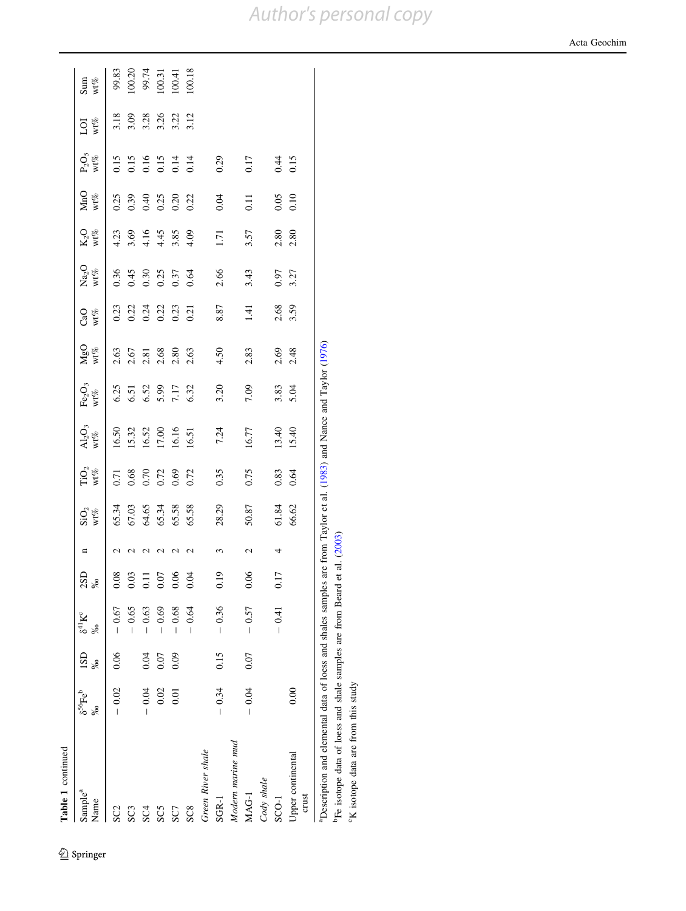| Table 1 continued                                                       |                                 |            |                        |                 |                  |                                                          |                                |                                                           |                                                      |                                |                                      |                             |                                      |                                             |                                            |                          |                                             |
|-------------------------------------------------------------------------|---------------------------------|------------|------------------------|-----------------|------------------|----------------------------------------------------------|--------------------------------|-----------------------------------------------------------|------------------------------------------------------|--------------------------------|--------------------------------------|-----------------------------|--------------------------------------|---------------------------------------------|--------------------------------------------|--------------------------|---------------------------------------------|
| Sample <sup>a</sup><br>Name                                             | $\delta^{56} \text{Fe}^b$<br>≫ం | 1SD<br>್ದೆ | $\delta^{41}K^c$<br>≫ం | $\frac{2SD}{%}$ | n                | $\mathop{\rm SiO_2}\limits_{\mathop{\rm W1}\nolimits\%}$ | ${\rm TiO_2} \over {\rm wt\%}$ | $\frac{\text{Al}_2\text{O}_3}{\text{wt}\%}$               | $\mathrm{Fe_{2}O_{3}}$<br>$\mathsf{wt}\mathscr{C}_o$ | $MgO$<br>wt%                   | CaO<br>$\mathbf{wt}\mathcal{D}$      | Na <sub>2</sub> O<br>$wt\%$ | wt%<br>$K2$ O                        | MnO<br>wt%                                  | $\frac{\text{P}_2\text{O}_5}{\text{Wt\%}}$ | wt%<br>ğ                 | Sum<br>$\mathsf{wt}\mathscr{C}_\mathcal{O}$ |
| SC <sub>2</sub>                                                         | $-0.02$                         | 0.06       | $-0.67$                | 0.08            |                  | 65.34                                                    | 0.71                           | 16.50                                                     |                                                      |                                |                                      | 0.36                        | 4.23                                 | 0.25                                        |                                            | 3.18                     | 99.83                                       |
| SC3                                                                     |                                 |            | $-0.65$                | 0.03            | $\mathrel{\sim}$ | 67.03<br>64.65<br>65.34<br>65.58                         | 0.68                           | 15.32                                                     | $6.35$<br>$6.51$<br>$6.52$<br>$7.17$<br>$7.32$       | 3.67<br>2.67 3.88<br>2.67 3.63 | 0.21<br>0.21<br>0.21<br>0.21<br>0.21 | 0.45                        | 3.69                                 |                                             | 0.15<br>0.16<br>0.16<br>0.14<br>0.14       |                          | 100.20                                      |
| SC <sub>4</sub>                                                         | $-0.04$                         | 0.04       | $-0.63$                | $\Xi$           | $\mathbf{\sim}$  |                                                          | 0.70                           |                                                           |                                                      |                                |                                      | 0.30                        |                                      |                                             |                                            |                          |                                             |
| SC5                                                                     | 0.02                            | 0.07       | 0.69                   | 0.07            | $\mathbf{\sim}$  |                                                          | 0.72                           | 16.52<br>17.00<br>16.16<br>16.51                          |                                                      |                                |                                      | 0.25                        | $4.16$<br>$4.45$<br>$4.85$<br>$4.09$ | 0.39<br>0.40<br>0.20<br>0.22                |                                            | 3.03<br>3.3.36<br>3.3.12 | 99.74<br>100.31<br>100.41                   |
| SC7                                                                     | $\overline{0.01}$               | 0.09       | $-0.68$                | 0.06            | $\mathbf{\sim}$  |                                                          | 0.69                           |                                                           |                                                      |                                |                                      |                             |                                      |                                             |                                            |                          |                                             |
| SC <sub>8</sub>                                                         |                                 |            | 0.64                   | 0.04            | N                |                                                          | 0.72                           |                                                           |                                                      |                                |                                      | 0.64                        |                                      |                                             |                                            |                          | 100.18                                      |
| Green River shale                                                       |                                 |            |                        |                 |                  |                                                          |                                |                                                           |                                                      |                                |                                      |                             |                                      |                                             |                                            |                          |                                             |
| SGR-1                                                                   | $-0.34$                         | 0.15       | $-0.36$                | 0.19            | 3                | 28.29                                                    | 0.35                           | 7.24                                                      | 3.20                                                 | 4.50                           | 8.87                                 | 2.66                        | 1.71                                 | 0.04                                        | 0.29                                       |                          |                                             |
| Modern marine mud                                                       |                                 |            |                        |                 |                  |                                                          |                                |                                                           |                                                      |                                |                                      |                             |                                      |                                             |                                            |                          |                                             |
| MAG-1                                                                   | $-0.04$                         | 0.07       | $-0.57$                | 0.06            | $\mathcal{C}$    | 50.87                                                    | 0.75                           | 16.77                                                     | 7.09                                                 | 2.83                           | 1.41                                 | 3.43                        | 3.57                                 | 0.11                                        | 0.17                                       |                          |                                             |
| Cody shale                                                              |                                 |            |                        |                 |                  |                                                          |                                |                                                           |                                                      |                                |                                      |                             |                                      |                                             |                                            |                          |                                             |
| SCO-1                                                                   |                                 |            | $-0.41$                | 0.17            |                  |                                                          | 0.83                           | 13.40                                                     |                                                      |                                |                                      | 0.97                        |                                      |                                             |                                            |                          |                                             |
| Upper continental<br>crust                                              | 0.00                            |            |                        |                 |                  | 61.84<br>66.62                                           | 0.64                           | 15.40                                                     | 3.83<br>5.04                                         | $2.69$<br>$2.48$               | 2.68<br>3.59                         | 3.27                        | $2.80$<br>$2.80$                     | $\begin{array}{c} 0.05 \\ 0.10 \end{array}$ | 0.15                                       |                          |                                             |
| <sup>a</sup> Description and elemental data of loess and shales samples |                                 |            |                        |                 |                  |                                                          |                                | are from Taylor et al. (1983) and Nance and Taylor (1976) |                                                      |                                |                                      |                             |                                      |                                             |                                            |                          |                                             |

*Author's personal copy*

bFe isotope data of loess and shale samples are from Beard et al. ([2003\)](#page-8-0)

 $\rm ^{b}Fe$  isotope data of loess and shale samples are from Beard et al. (2003)  $\rm ^{c}K$  isotope data are from this study

cK isotope data are from this study

Acta Geochim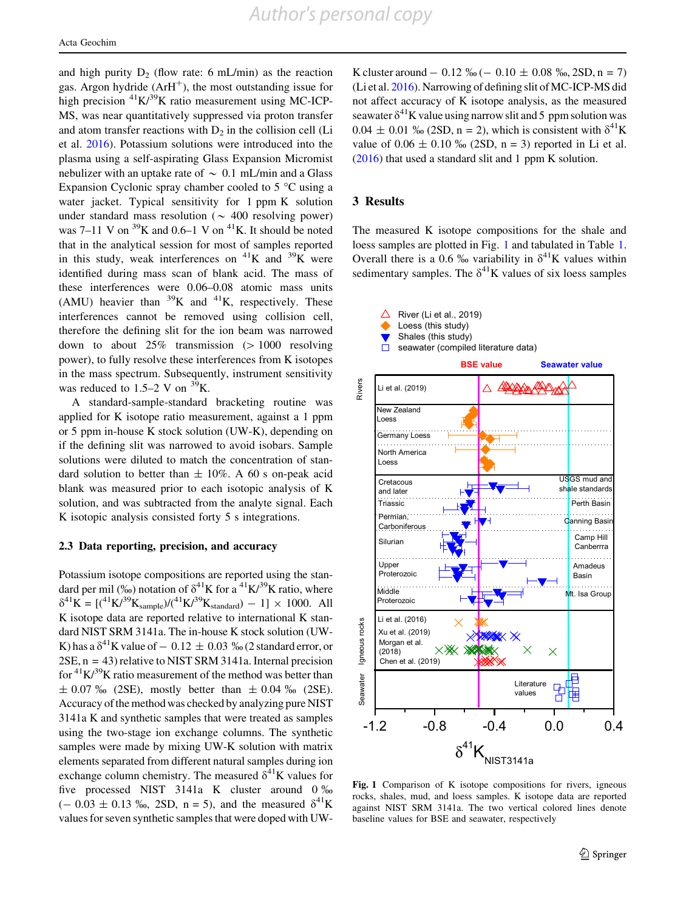*Author's personal copy*

<span id="page-4-0"></span>and high purity  $D_2$  (flow rate: 6 mL/min) as the reaction gas. Argon hydride  $(ArH^+)$ , the most outstanding issue for high precision  ${}^{41}K/{}^{39}K$  ratio measurement using MC-ICP-MS, was near quantitatively suppressed via proton transfer and atom transfer reactions with  $D<sub>2</sub>$  in the collision cell (Li et al. [2016](#page-8-0)). Potassium solutions were introduced into the plasma using a self-aspirating Glass Expansion Micromist nebulizer with an uptake rate of  $\sim 0.1$  mL/min and a Glass Expansion Cyclonic spray chamber cooled to  $5^{\circ}$ C using a water jacket. Typical sensitivity for 1 ppm K solution under standard mass resolution ( $\sim$  400 resolving power) was 7–11 V on  $^{39}$ K and 0.6–1 V on  $^{41}$ K. It should be noted that in the analytical session for most of samples reported in this study, weak interferences on  ${}^{41}$ K and  ${}^{39}$ K were identified during mass scan of blank acid. The mass of these interferences were 0.06–0.08 atomic mass units (AMU) heavier than  ${}^{39}K$  and  ${}^{41}K$ , respectively. These interferences cannot be removed using collision cell, therefore the defining slit for the ion beam was narrowed down to about  $25\%$  transmission ( $> 1000$  resolving power), to fully resolve these interferences from K isotopes in the mass spectrum. Subsequently, instrument sensitivity was reduced to  $1.5-2$  V on  $^{39}$ K.

A standard-sample-standard bracketing routine was applied for K isotope ratio measurement, against a 1 ppm or 5 ppm in-house K stock solution (UW-K), depending on if the defining slit was narrowed to avoid isobars. Sample solutions were diluted to match the concentration of standard solution to better than  $\pm$  10%. A 60 s on-peak acid blank was measured prior to each isotopic analysis of K solution, and was subtracted from the analyte signal. Each K isotopic analysis consisted forty 5 s integrations.

### 2.3 Data reporting, precision, and accuracy

Potassium isotope compositions are reported using the standard per mil (‰) notation of  $\delta^{41}$ K for a  $^{41}$ K/<sup>39</sup>K ratio, where  $\delta^{41}$ K = [(<sup>41</sup>K/<sup>39</sup>K<sub>sample</sub>)/(<sup>41</sup>K/<sup>39</sup>K<sub>standard</sub>) – 1] × 1000. All K isotope data are reported relative to international K standard NIST SRM 3141a. The in-house K stock solution (UW-K) has a  $\delta^{41}$ K value of  $-$  0.12  $\pm$  0.03 % (2 standard error, or 2SE, n = 43) relative to NIST SRM 3141a. Internal precision for  ${}^{41}$ K/ ${}^{39}$ K ratio measurement of the method was better than  $\pm$  0.07 ‰ (2SE), mostly better than  $\pm$  0.04 ‰ (2SE). Accuracy of the method was checked by analyzing pure NIST 3141a K and synthetic samples that were treated as samples using the two-stage ion exchange columns. The synthetic samples were made by mixing UW-K solution with matrix elements separated from different natural samples during ion exchange column chemistry. The measured  $\delta^{41}$ K values for five processed NIST 3141a K cluster around 0 %  $(- 0.03 \pm 0.13 \text{ %}$ , 2SD, n = 5), and the measured  $\delta^{41}$ K values for seven synthetic samples that were doped with UW-

K cluster around  $-0.12 \% (-0.10 \pm 0.08 \% (-0.25D, n = 7))$ (Li et al. [2016\)](#page-8-0). Narrowing of defining slit of MC-ICP-MS did not affect accuracy of K isotope analysis, as the measured seawater  $\delta^{41}$ K value using narrow slit and 5 ppm solution was  $0.04 \pm 0.01 \%$  (2SD, n = 2), which is consistent with  $\delta^{41}$ K value of  $0.06 \pm 0.10$  ‰ (2SD, n = 3) reported in Li et al. [\(2016](#page-8-0)) that used a standard slit and 1 ppm K solution.

## 3 Results

The measured K isotope compositions for the shale and loess samples are plotted in Fig. 1 and tabulated in Table [1.](#page-2-0) Overall there is a 0.6  $\frac{\%}{\%}$  variability in  $\delta^{41}$ K values within sedimentary samples. The  $\delta^{41}$ K values of six loess samples



Fig. 1 Comparison of K isotope compositions for rivers, igneous rocks, shales, mud, and loess samples. K isotope data are reported against NIST SRM 3141a. The two vertical colored lines denote baseline values for BSE and seawater, respectively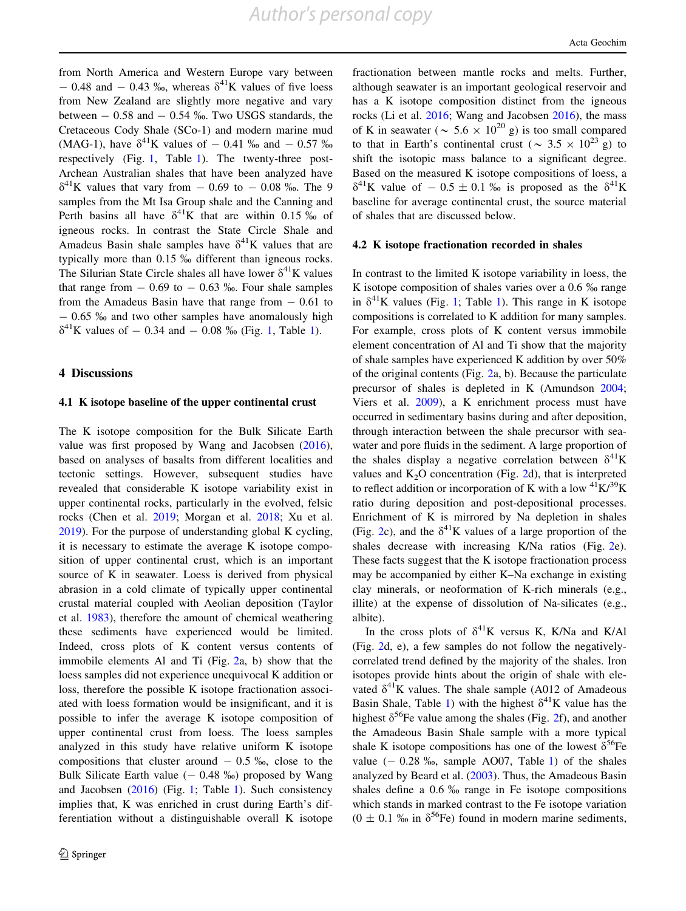from North America and Western Europe vary between  $-$  0.48 and  $-$  0.43 ‰, whereas  $\delta^{41}$ K values of five loess from New Zealand are slightly more negative and vary between  $-0.58$  and  $-0.54$  ‰. Two USGS standards, the Cretaceous Cody Shale (SCo-1) and modern marine mud (MAG-1), have  $\delta^{41}$ K values of  $-$  0.41 ‰ and  $-$  0.57 ‰ respectively (Fig. [1](#page-4-0), Table [1](#page-2-0)). The twenty-three post-Archean Australian shales that have been analyzed have  $\delta^{41}$ K values that vary from  $-0.69$  to  $-0.08$  ‰. The 9 samples from the Mt Isa Group shale and the Canning and Perth basins all have  $\delta^{41}$ K that are within 0.15 % of igneous rocks. In contrast the State Circle Shale and Amadeus Basin shale samples have  $\delta^{41}$ K values that are typically more than 0.15 ‰ different than igneous rocks. The Silurian State Circle shales all have lower  $\delta^{41}K$  values that range from  $-0.69$  to  $-0.63$  ‰. Four shale samples from the Amadeus Basin have that range from  $-0.61$  to  $-$  0.65  $\%$  and two other samples have anomalously high  $\delta^{41}$ K values of  $-$  0.34 and  $-$  0.08 ‰ (Fig. [1,](#page-4-0) Table [1\)](#page-2-0).

### 4 Discussions

#### 4.1 K isotope baseline of the upper continental crust

The K isotope composition for the Bulk Silicate Earth value was first proposed by Wang and Jacobsen [\(2016](#page-8-0)), based on analyses of basalts from different localities and tectonic settings. However, subsequent studies have revealed that considerable K isotope variability exist in upper continental rocks, particularly in the evolved, felsic rocks (Chen et al. [2019;](#page-8-0) Morgan et al. [2018](#page-8-0); Xu et al. [2019\)](#page-8-0). For the purpose of understanding global K cycling, it is necessary to estimate the average K isotope composition of upper continental crust, which is an important source of K in seawater. Loess is derived from physical abrasion in a cold climate of typically upper continental crustal material coupled with Aeolian deposition (Taylor et al. [1983\)](#page-8-0), therefore the amount of chemical weathering these sediments have experienced would be limited. Indeed, cross plots of K content versus contents of immobile elements Al and Ti (Fig. [2a](#page-6-0), b) show that the loess samples did not experience unequivocal K addition or loss, therefore the possible K isotope fractionation associated with loess formation would be insignificant, and it is possible to infer the average K isotope composition of upper continental crust from loess. The loess samples analyzed in this study have relative uniform K isotope compositions that cluster around  $-0.5\%$ , close to the Bulk Silicate Earth value  $(-0.48 \text{ %})$  proposed by Wang and Jacobsen ([2016\)](#page-8-0) (Fig. [1](#page-4-0); Table [1\)](#page-2-0). Such consistency implies that, K was enriched in crust during Earth's differentiation without a distinguishable overall K isotope fractionation between mantle rocks and melts. Further, although seawater is an important geological reservoir and has a K isotope composition distinct from the igneous rocks (Li et al. [2016;](#page-8-0) Wang and Jacobsen [2016\)](#page-8-0), the mass of K in seawater ( $\sim 5.6 \times 10^{20}$  g) is too small compared to that in Earth's continental crust ( $\sim 3.5 \times 10^{23}$  g) to shift the isotopic mass balance to a significant degree. Based on the measured K isotope compositions of loess, a  $\delta^{41}$ K value of  $-0.5 \pm 0.1$  % is proposed as the  $\delta^{41}$ K baseline for average continental crust, the source material of shales that are discussed below.

#### 4.2 K isotope fractionation recorded in shales

In contrast to the limited K isotope variability in loess, the K isotope composition of shales varies over a  $0.6\%$  range in  $\delta^{41}$ K values (Fig. [1;](#page-4-0) Table [1\)](#page-2-0). This range in K isotope compositions is correlated to K addition for many samples. For example, cross plots of K content versus immobile element concentration of Al and Ti show that the majority of shale samples have experienced K addition by over 50% of the original contents (Fig. [2a](#page-6-0), b). Because the particulate precursor of shales is depleted in K (Amundson [2004](#page-8-0); Viers et al. [2009\)](#page-8-0), a K enrichment process must have occurred in sedimentary basins during and after deposition, through interaction between the shale precursor with seawater and pore fluids in the sediment. A large proportion of the shales display a negative correlation between  $\delta^{41}$ K values and  $K<sub>2</sub>O$  concentration (Fig. [2d](#page-6-0)), that is interpreted to reflect addition or incorporation of K with a low  ${}^{41}K/{}^{39}K$ ratio during deposition and post-depositional processes. Enrichment of K is mirrored by Na depletion in shales (Fig. [2c](#page-6-0)), and the  $\delta^{41}$ K values of a large proportion of the shales decrease with increasing K/Na ratios (Fig. [2e](#page-6-0)). These facts suggest that the K isotope fractionation process may be accompanied by either K–Na exchange in existing clay minerals, or neoformation of K-rich minerals (e.g., illite) at the expense of dissolution of Na-silicates (e.g., albite).

In the cross plots of  $\delta^{41}$ K versus K, K/Na and K/Al (Fig. [2d](#page-6-0), e), a few samples do not follow the negativelycorrelated trend defined by the majority of the shales. Iron isotopes provide hints about the origin of shale with elevated  $\delta^{41}$ K values. The shale sample (A012 of Amadeous Basin Shale, Table [1\)](#page-2-0) with the highest  $\delta^{41}$ K value has the highest  $\delta^{56}$ Fe value among the shales (Fig. [2f](#page-6-0)), and another the Amadeous Basin Shale sample with a more typical shale K isotope compositions has one of the lowest  $\delta^{56}$ Fe value  $(-0.28\%$ , sample AO07, Table [1](#page-2-0)) of the shales analyzed by Beard et al. [\(2003](#page-8-0)). Thus, the Amadeous Basin shales define a  $0.6\%$  range in Fe isotope compositions which stands in marked contrast to the Fe isotope variation  $(0 \pm 0.1 \text{ %} \cdot \text{in} \cdot \delta^{56}\text{Fe})$  found in modern marine sediments,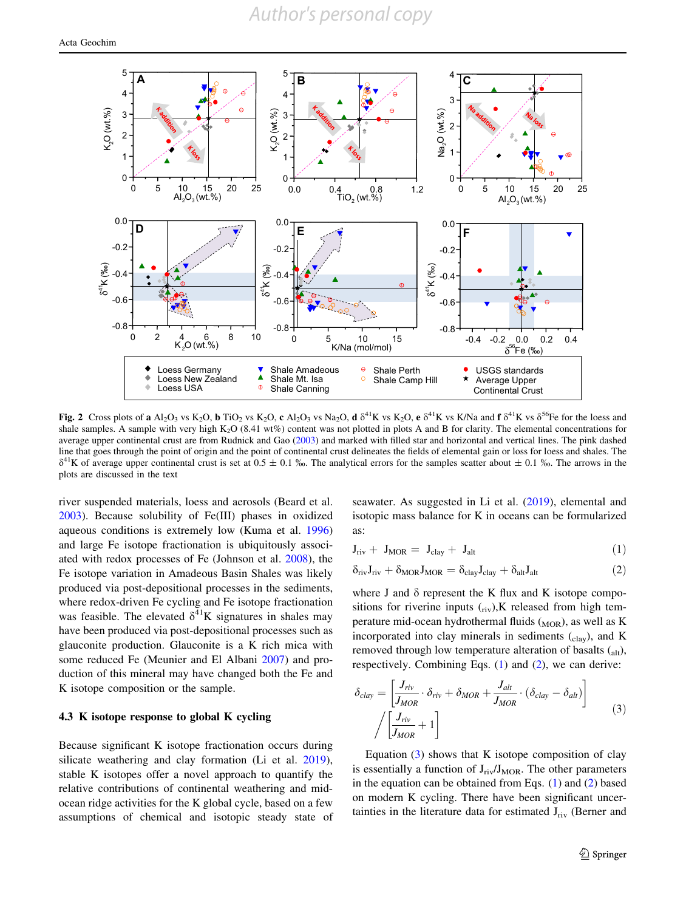<span id="page-6-0"></span>

Fig. 2 Cross plots of a Al<sub>2</sub>O<sub>3</sub> vs K<sub>2</sub>O, b TiO<sub>2</sub> vs K<sub>2</sub>O, c Al<sub>2</sub>O<sub>3</sub> vs Na<sub>2</sub>O, d  $\delta^{41}$ K vs K<sub>2</sub>O, e  $\delta^{41}$ K vs K/Na and f  $\delta^{41}$ K vs  $\delta^{56}$ Fe for the loess and shale samples. A sample with very high K<sub>2</sub>O (8.41 wt%) content was not plotted in plots A and B for clarity. The elemental concentrations for average upper continental crust are from Rudnick and Gao ([2003\)](#page-8-0) and marked with filled star and horizontal and vertical lines. The pink dashed line that goes through the point of origin and the point of continental crust delineates the fields of elemental gain or loss for loess and shales. The  $\delta^{41}$ K of average upper continental crust is set at 0.5  $\pm$  0.1 ‰. The analytical errors for the samples scatter about  $\pm$  0.1 ‰. The arrows in the plots are discussed in the text

river suspended materials, loess and aerosols (Beard et al. [2003\)](#page-8-0). Because solubility of Fe(III) phases in oxidized aqueous conditions is extremely low (Kuma et al. [1996\)](#page-8-0) and large Fe isotope fractionation is ubiquitously associated with redox processes of Fe (Johnson et al. [2008\)](#page-8-0), the Fe isotope variation in Amadeous Basin Shales was likely produced via post-depositional processes in the sediments, where redox-driven Fe cycling and Fe isotope fractionation was feasible. The elevated  $\delta^{41}$ K signatures in shales may have been produced via post-depositional processes such as glauconite production. Glauconite is a K rich mica with some reduced Fe (Meunier and El Albani [2007](#page-8-0)) and production of this mineral may have changed both the Fe and K isotope composition or the sample.

## 4.3 K isotope response to global K cycling

Because significant K isotope fractionation occurs during silicate weathering and clay formation (Li et al. [2019](#page-8-0)), stable K isotopes offer a novel approach to quantify the relative contributions of continental weathering and midocean ridge activities for the K global cycle, based on a few assumptions of chemical and isotopic steady state of seawater. As suggested in Li et al. [\(2019](#page-8-0)), elemental and isotopic mass balance for K in oceans can be formularized as:

$$
J_{\text{riv}} + J_{\text{MOR}} = J_{\text{clay}} + J_{\text{alt}} \tag{1}
$$

$$
\delta_{\rm riv} J_{\rm riv} + \delta_{\rm MOR} J_{\rm MOR} = \delta_{\rm clay} J_{\rm clay} + \delta_{\rm alt} J_{\rm alt} \tag{2}
$$

where J and  $\delta$  represent the K flux and K isotope compositions for riverine inputs  $(r_{\text{iv}})$ , K released from high temperature mid-ocean hydrothermal fluids  $(MOR)$ , as well as K incorporated into clay minerals in sediments  $(c<sub>law</sub>)$ , and K removed through low temperature alteration of basalts (alt), respectively. Combining Eqs. (1) and (2), we can derive:

$$
\delta_{clay} = \left[ \frac{J_{riv}}{J_{MOR}} \cdot \delta_{riv} + \delta_{MOR} + \frac{J_{alt}}{J_{MOR}} \cdot (\delta_{clay} - \delta_{alt}) \right]
$$
\n
$$
\left/ \left[ \frac{J_{riv}}{J_{MOR}} + 1 \right] \right]
$$
\n(3)

Equation  $(3)$  shows that K isotope composition of clay is essentially a function of  $J_{\text{riv}}/J_{\text{MOR}}$ . The other parameters in the equation can be obtained from Eqs.  $(1)$  and  $(2)$  based on modern K cycling. There have been significant uncertainties in the literature data for estimated  $J_{\text{riv}}$  (Berner and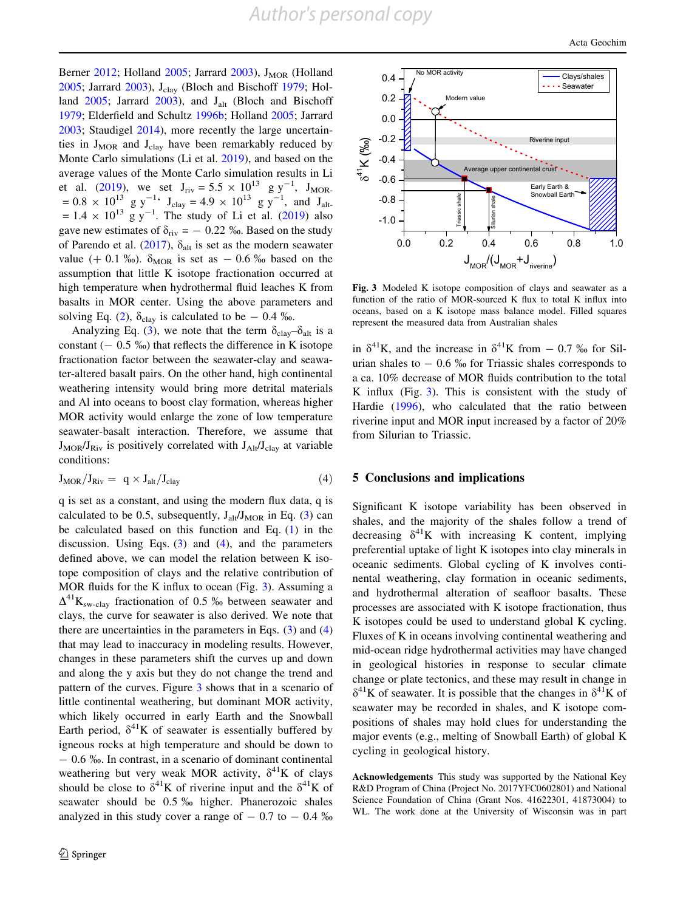Berner [2012;](#page-8-0) Holland [2005](#page-8-0); Jarrard [2003](#page-8-0)),  $J_{MOR}$  (Holland [2005;](#page-8-0) Jarrard [2003\)](#page-8-0), J<sub>clay</sub> (Bloch and Bischoff [1979](#page-8-0); Holland  $2005$ ; Jarrard  $2003$ ), and J<sub>alt</sub> (Bloch and Bischoff [1979;](#page-8-0) Elderfield and Schultz [1996b;](#page-8-0) Holland [2005;](#page-8-0) Jarrard [2003;](#page-8-0) Staudigel [2014\)](#page-8-0), more recently the large uncertainties in  $J_{MOR}$  and  $J_{clav}$  have been remarkably reduced by Monte Carlo simulations (Li et al. [2019](#page-8-0)), and based on the average values of the Monte Carlo simulation results in Li et al. [\(2019](#page-8-0)), we set  $J_{\text{riv}} = 5.5 \times 10^{13} \text{ g y}^{-1}$ ,  $J_{\text{MOR}}$ .  $= 0.8 \times 10^{13}$  g y<sup>-1</sup>  $J_{\text{clay}} = 4.9 \times 10^{13}$  g y<sup>-1</sup>, and J<sub>alt-</sub>  $= 1.4 \times 10^{13}$  g y<sup>-1</sup>. The study of Li et al. [\(2019](#page-8-0)) also gave new estimates of  $\delta_{\rm{riv}} = -0.22$  ‰. Based on the study of Parendo et al. ([2017\)](#page-8-0),  $\delta_{\text{alt}}$  is set as the modern seawater value (+ 0.1 %).  $\delta_{MOR}$  is set as - 0.6 % based on the assumption that little K isotope fractionation occurred at high temperature when hydrothermal fluid leaches K from basalts in MOR center. Using the above parameters and solving Eq. [\(2](#page-6-0)),  $\delta_{\text{clay}}$  is calculated to be  $-0.4$  ‰.

Analyzing Eq. ([3\)](#page-6-0), we note that the term  $\delta_{\text{clay}} - \delta_{\text{alt}}$  is a constant  $(- 0.5 \%)$  that reflects the difference in K isotope fractionation factor between the seawater-clay and seawater-altered basalt pairs. On the other hand, high continental weathering intensity would bring more detrital materials and Al into oceans to boost clay formation, whereas higher MOR activity would enlarge the zone of low temperature seawater-basalt interaction. Therefore, we assume that  $J_{MOR}/J_{Riv}$  is positively correlated with  $J_{Alt}/J_{clav}$  at variable conditions:

$$
J_{MOR}/J_{Riv} = q \times J_{alt}/J_{clay}
$$
 (4)

q is set as a constant, and using the modern flux data, q is calculated to be 0.5, subsequently,  $J_{\text{alt}}/J_{\text{MOR}}$  in Eq. ([3\)](#page-6-0) can be calculated based on this function and Eq.  $(1)$  $(1)$  in the discussion. Using Eqs.  $(3)$  $(3)$  and  $(4)$ , and the parameters defined above, we can model the relation between K isotope composition of clays and the relative contribution of MOR fluids for the K influx to ocean (Fig. 3). Assuming a  $\Delta^{41}$ K<sub>sw-clay</sub> fractionation of 0.5 ‰ between seawater and clays, the curve for seawater is also derived. We note that there are uncertainties in the parameters in Eqs.  $(3)$  $(3)$  and  $(4)$ that may lead to inaccuracy in modeling results. However, changes in these parameters shift the curves up and down and along the y axis but they do not change the trend and pattern of the curves. Figure 3 shows that in a scenario of little continental weathering, but dominant MOR activity, which likely occurred in early Earth and the Snowball Earth period,  $\delta^{41}$ K of seawater is essentially buffered by igneous rocks at high temperature and should be down to - 0.6 %. In contrast, in a scenario of dominant continental weathering but very weak MOR activity,  $\delta^{41}$ K of clays should be close to  $\delta^{41}$ K of riverine input and the  $\delta^{41}$ K of seawater should be 0.5 % higher. Phanerozoic shales analyzed in this study cover a range of  $-0.7$  to  $-0.4$  %



Fig. 3 Modeled K isotope composition of clays and seawater as a function of the ratio of MOR-sourced K flux to total K influx into oceans, based on a K isotope mass balance model. Filled squares represent the measured data from Australian shales

in  $\delta^{41}$ K, and the increase in  $\delta^{41}$ K from  $-$  0.7 ‰ for Silurian shales to  $-0.6\%$  for Triassic shales corresponds to a ca. 10% decrease of MOR fluids contribution to the total K influx (Fig. 3). This is consistent with the study of Hardie [\(1996](#page-8-0)), who calculated that the ratio between riverine input and MOR input increased by a factor of 20% from Silurian to Triassic.

## 5 Conclusions and implications

Significant K isotope variability has been observed in shales, and the majority of the shales follow a trend of decreasing  $\delta^{41}$ K with increasing K content, implying preferential uptake of light K isotopes into clay minerals in oceanic sediments. Global cycling of K involves continental weathering, clay formation in oceanic sediments, and hydrothermal alteration of seafloor basalts. These processes are associated with K isotope fractionation, thus K isotopes could be used to understand global K cycling. Fluxes of K in oceans involving continental weathering and mid-ocean ridge hydrothermal activities may have changed in geological histories in response to secular climate change or plate tectonics, and these may result in change in  $\delta^{41}$ K of seawater. It is possible that the changes in  $\delta^{41}$ K of seawater may be recorded in shales, and K isotope compositions of shales may hold clues for understanding the major events (e.g., melting of Snowball Earth) of global K cycling in geological history.

Acknowledgements This study was supported by the National Key R&D Program of China (Project No. 2017YFC0602801) and National Science Foundation of China (Grant Nos. 41622301, 41873004) to WL. The work done at the University of Wisconsin was in part